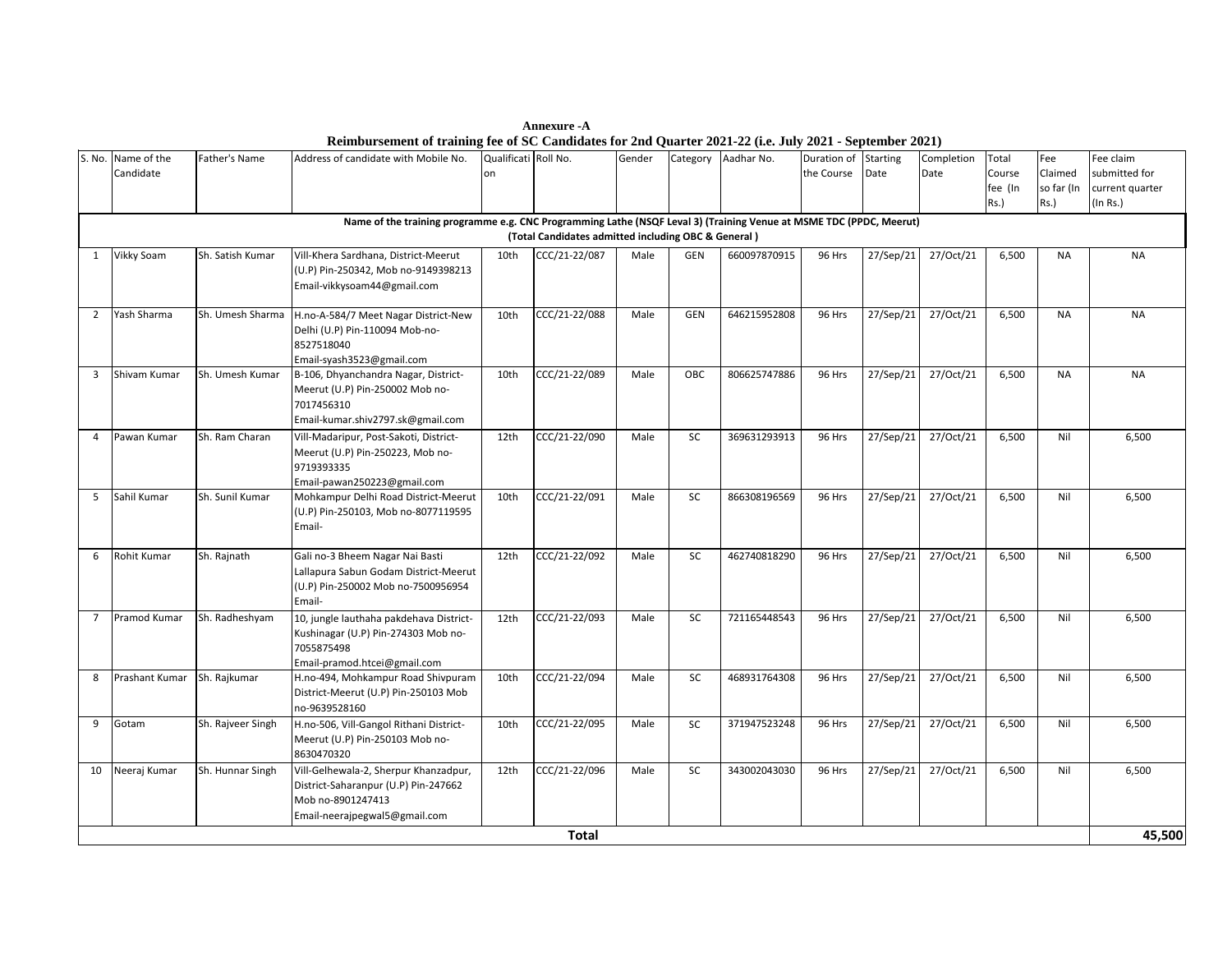|                                                                                                                                                                            | S. No. Name of the<br>Candidate | Father's Name     | Address of candidate with Mobile No.                                                                                                | Qualificati Roll No.<br>on |                 | Gender |            | $\alpha$ and $\alpha$ and $\alpha$ and $\alpha$ and $\alpha$ and $\alpha$ and $\alpha$ and $\alpha$<br>Category Aadhar No. | $, \, \texttt{101} \, \texttt{102}$<br>Duration of Starting<br>the Course | Date      | Completion<br>Date | Total<br>Course<br>fee (In<br>Rs.) | Fee<br>Claimed<br>so far (In<br>Rs.) | Fee claim<br>submitted for<br>current quarter<br>(In Rs.) |
|----------------------------------------------------------------------------------------------------------------------------------------------------------------------------|---------------------------------|-------------------|-------------------------------------------------------------------------------------------------------------------------------------|----------------------------|-----------------|--------|------------|----------------------------------------------------------------------------------------------------------------------------|---------------------------------------------------------------------------|-----------|--------------------|------------------------------------|--------------------------------------|-----------------------------------------------------------|
| Name of the training programme e.g. CNC Programming Lathe (NSQF Leval 3) (Training Venue at MSME TDC (PPDC, Meerut)<br>(Total Candidates admitted including OBC & General) |                                 |                   |                                                                                                                                     |                            |                 |        |            |                                                                                                                            |                                                                           |           |                    |                                    |                                      |                                                           |
| 1                                                                                                                                                                          | Vikky Soam                      | Sh. Satish Kumar  | Vill-Khera Sardhana, District-Meerut<br>(U.P) Pin-250342, Mob no-9149398213<br>Email-vikkysoam44@gmail.com                          | 10th                       | CCC/21-22/087   | Male   | GEN        | 660097870915                                                                                                               | 96 Hrs                                                                    | 27/Sep/21 | 27/Oct/21          | 6,500                              | <b>NA</b>                            | <b>NA</b>                                                 |
| $\overline{2}$                                                                                                                                                             | Yash Sharma                     | Sh. Umesh Sharma  | H.no-A-584/7 Meet Nagar District-New<br>Delhi (U.P) Pin-110094 Mob-no-<br>8527518040<br>Email-syash3523@gmail.com                   | 10th                       | CCC/21-22/088   | Male   | <b>GEN</b> | 646215952808                                                                                                               | 96 Hrs                                                                    | 27/Sep/21 | 27/Oct/21          | 6,500                              | <b>NA</b>                            | <b>NA</b>                                                 |
| 3                                                                                                                                                                          | Shivam Kumar                    | Sh. Umesh Kumar   | B-106, Dhyanchandra Nagar, District-<br>Meerut (U.P) Pin-250002 Mob no-<br>7017456310<br>Email-kumar.shiv2797.sk@gmail.com          | 10th                       | $CCC/21-22/089$ | Male   | <b>OBC</b> | 806625747886                                                                                                               | 96 Hrs                                                                    | 27/Sep/21 | 27/Oct/21          | 6,500                              | <b>NA</b>                            | <b>NA</b>                                                 |
| $\overline{4}$                                                                                                                                                             | Pawan Kumar                     | Sh. Ram Charan    | Vill-Madaripur, Post-Sakoti, District-<br>Meerut (U.P) Pin-250223, Mob no-<br>9719393335<br>Email-pawan250223@gmail.com             | 12th                       | CCC/21-22/090   | Male   | SC         | 369631293913                                                                                                               | 96 Hrs                                                                    | 27/Sep/21 | 27/Oct/21          | 6,500                              | Nil                                  | 6,500                                                     |
| 5                                                                                                                                                                          | Sahil Kumar                     | Sh. Sunil Kumar   | Mohkampur Delhi Road District-Meerut<br>(U.P) Pin-250103, Mob no-8077119595<br>Email-                                               | 10th                       | CCC/21-22/091   | Male   | SC         | 866308196569                                                                                                               | 96 Hrs                                                                    | 27/Sep/21 | 27/Oct/21          | 6,500                              | Nil                                  | 6,500                                                     |
| 6                                                                                                                                                                          | Rohit Kumar                     | Sh. Rajnath       | Gali no-3 Bheem Nagar Nai Basti<br>Lallapura Sabun Godam District-Meerut<br>(U.P) Pin-250002 Mob no-7500956954<br>Email-            | 12th                       | $CCC/21-22/092$ | Male   | SC         | 462740818290                                                                                                               | 96 Hrs                                                                    | 27/Sep/21 | 27/Oct/21          | 6,500                              | Nil                                  | 6,500                                                     |
| $\overline{7}$                                                                                                                                                             | Pramod Kumar                    | Sh. Radheshyam    | 10, jungle lauthaha pakdehava District-<br>Kushinagar (U.P) Pin-274303 Mob no-<br>7055875498<br>Email-pramod.htcei@gmail.com        | 12th                       | CCC/21-22/093   | Male   | SC         | 721165448543                                                                                                               | 96 Hrs                                                                    | 27/Sep/21 | 27/Oct/21          | 6,500                              | Nil                                  | 6,500                                                     |
| 8                                                                                                                                                                          | Prashant Kumar                  | Sh. Rajkumar      | H.no-494, Mohkampur Road Shivpuram<br>District-Meerut (U.P) Pin-250103 Mob<br>no-9639528160                                         | 10th                       | CCC/21-22/094   | Male   | SC         | 468931764308                                                                                                               | 96 Hrs                                                                    | 27/Sep/21 | 27/Oct/21          | 6,500                              | Nil                                  | 6,500                                                     |
| 9                                                                                                                                                                          | Gotam                           | Sh. Rajveer Singh | H.no-506, Vill-Gangol Rithani District-<br>Meerut (U.P) Pin-250103 Mob no-<br>8630470320                                            | 10th                       | CCC/21-22/095   | Male   | SC         | 371947523248                                                                                                               | 96 Hrs                                                                    | 27/Sep/21 | 27/Oct/21          | 6,500                              | Nil                                  | 6,500                                                     |
| 10                                                                                                                                                                         | Neeraj Kumar                    | Sh. Hunnar Singh  | Vill-Gelhewala-2, Sherpur Khanzadpur,<br>District-Saharanpur (U.P) Pin-247662<br>Mob no-8901247413<br>Email-neerajpegwal5@gmail.com | 12th                       | CCC/21-22/096   | Male   | SC         | 343002043030                                                                                                               | 96 Hrs                                                                    | 27/Sep/21 | 27/Oct/21          | 6,500                              | Nil                                  | 6,500                                                     |
|                                                                                                                                                                            | <b>Total</b>                    |                   |                                                                                                                                     |                            |                 |        |            |                                                                                                                            |                                                                           |           |                    |                                    | 45,500                               |                                                           |

**Annexure -A Reimbursement of training fee of SC Candidates for 2nd Quarter 2021-22 (i.e. July 2021 - September 2021)**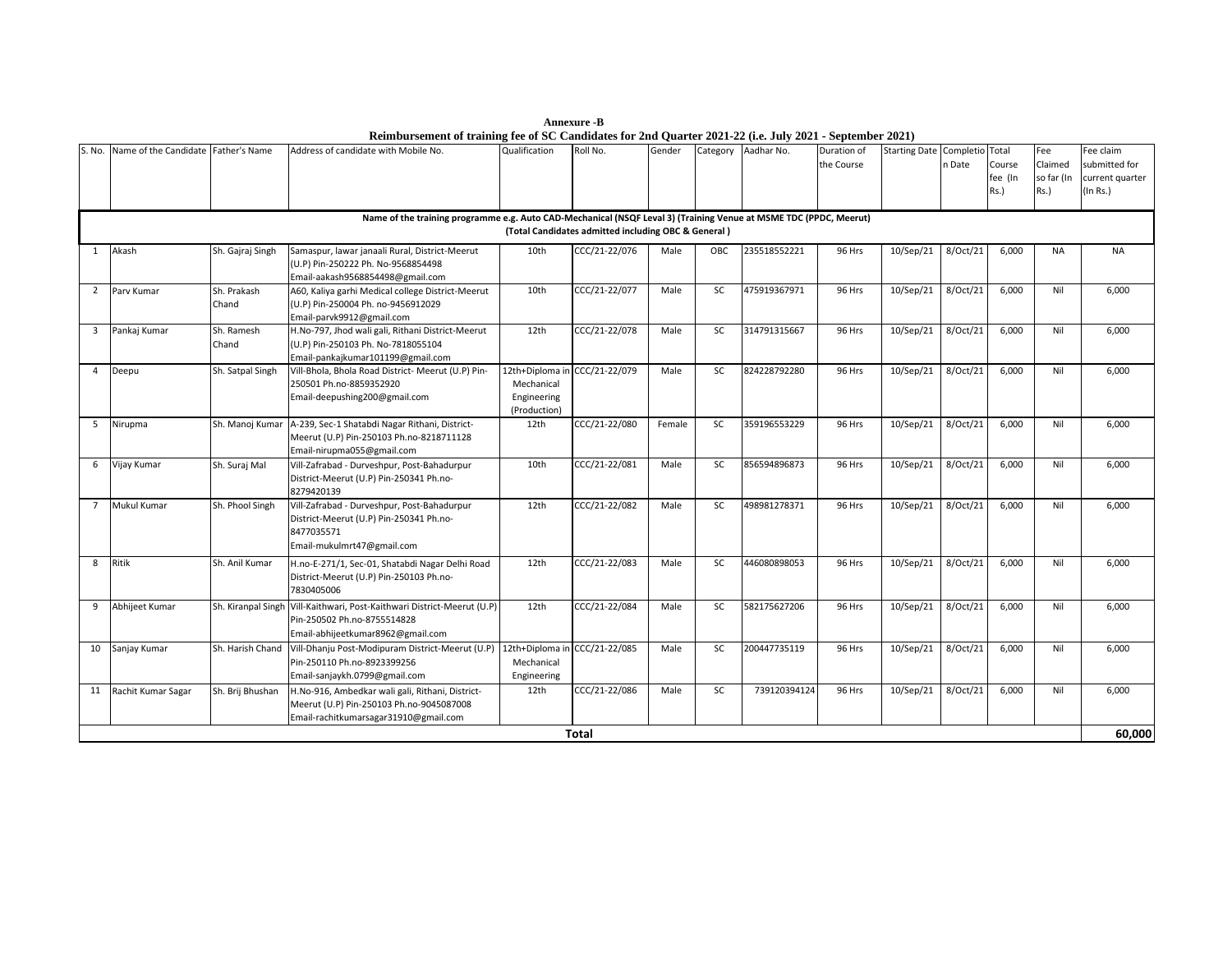**Annexure -B Reimbursement of training fee of SC Candidates for 2nd Quarter 2021-22 (i.e. July 2021 - September 2021)**

| S. No.                                                                                                                                                                   | Name of the Candidate Father's Name |                      | Address of candidate with Mobile No.                                                                                                  | Qualification                                                | Roll No.      | Gender | Category  | Aadhar No.   | $-0.000$<br>Duration of<br>the Course | <b>Starting Date Completio</b> | n Date   | Total<br>Course<br>fee (In<br>Rs.) | Fee<br>Claimed<br>so far (In<br>Rs.) | Fee claim<br>submitted for<br>current quarter<br>(In Rs.) |
|--------------------------------------------------------------------------------------------------------------------------------------------------------------------------|-------------------------------------|----------------------|---------------------------------------------------------------------------------------------------------------------------------------|--------------------------------------------------------------|---------------|--------|-----------|--------------|---------------------------------------|--------------------------------|----------|------------------------------------|--------------------------------------|-----------------------------------------------------------|
| Name of the training programme e.g. Auto CAD-Mechanical (NSQF Leval 3) (Training Venue at MSME TDC (PPDC, Meerut)<br>(Total Candidates admitted including OBC & General) |                                     |                      |                                                                                                                                       |                                                              |               |        |           |              |                                       |                                |          |                                    |                                      |                                                           |
| 1                                                                                                                                                                        | Akash                               | Sh. Gajraj Singh     | Samaspur, lawar janaali Rural, District-Meerut<br>(U.P) Pin-250222 Ph. No-9568854498<br>Email-aakash9568854498@gmail.com              | 10th                                                         | CCC/21-22/076 | Male   | OBC       | 235518552221 | 96 Hrs                                | 10/Sep/21                      | 8/Oct/21 | 6,000                              | <b>NA</b>                            | <b>NA</b>                                                 |
| $\overline{2}$                                                                                                                                                           | Parv Kumar                          | Sh. Prakash<br>Chand | A60, Kaliya garhi Medical college District-Meerut<br>(U.P) Pin-250004 Ph. no-9456912029<br>Email-parvk9912@gmail.com                  | 10th                                                         | CCC/21-22/077 | Male   | <b>SC</b> | 475919367971 | 96 Hrs                                | 10/Sep/21                      | 8/Oct/21 | 6,000                              | Nil                                  | 6,000                                                     |
| $\overline{\mathbf{3}}$                                                                                                                                                  | Pankaj Kumar                        | Sh. Ramesh<br>Chand  | H.No-797, Jhod wali gali, Rithani District-Meerut<br>(U.P) Pin-250103 Ph. No-7818055104<br>Email-pankajkumar101199@gmail.com          | 12th                                                         | CCC/21-22/078 | Male   | SC        | 314791315667 | 96 Hrs                                | 10/Sep/21                      | 8/Oct/21 | 6,000                              | Nil                                  | 6,000                                                     |
| 4                                                                                                                                                                        | Deepu                               | Sh. Satpal Singh     | Vill-Bhola, Bhola Road District- Meerut (U.P) Pin-<br>250501 Ph.no-8859352920<br>Email-deepushing200@gmail.com                        | 12th+Diploma ir<br>Mechanical<br>Engineering<br>(Production) | CCC/21-22/079 | Male   | <b>SC</b> | 824228792280 | 96 Hrs                                | 10/Sep/21                      | 8/Oct/21 | 6.000                              | Nil                                  | 6,000                                                     |
| 5                                                                                                                                                                        | Nirupma                             | Sh. Manoj Kumar      | A-239, Sec-1 Shatabdi Nagar Rithani, District-<br>Meerut (U.P) Pin-250103 Ph.no-8218711128<br>Email-nirupma055@gmail.com              | 12th                                                         | CCC/21-22/080 | Female | <b>SC</b> | 359196553229 | 96 Hrs                                | 10/Sep/21                      | 8/Oct/21 | 6,000                              | Nil                                  | 6,000                                                     |
| 6                                                                                                                                                                        | Vijay Kumar                         | Sh. Suraj Mal        | Vill-Zafrabad - Durveshpur, Post-Bahadurpur<br>District-Meerut (U.P) Pin-250341 Ph.no-<br>8279420139                                  | 10th                                                         | CCC/21-22/081 | Male   | SC        | 856594896873 | 96 Hrs                                | 10/Sep/21                      | 8/Oct/21 | 6,000                              | Nil                                  | 6,000                                                     |
| $\overline{7}$                                                                                                                                                           | Mukul Kumar                         | Sh. Phool Singh      | Vill-Zafrabad - Durveshpur, Post-Bahadurpur<br>District-Meerut (U.P) Pin-250341 Ph.no-<br>8477035571<br>Email-mukulmrt47@gmail.com    | 12th                                                         | CCC/21-22/082 | Male   | SC        | 498981278371 | 96 Hrs                                | 10/Sep/21                      | 8/Oct/21 | 6,000                              | Nil                                  | 6,000                                                     |
| 8                                                                                                                                                                        | Ritik                               | Sh. Anil Kumar       | H.no-E-271/1, Sec-01, Shatabdi Nagar Delhi Road<br>District-Meerut (U.P) Pin-250103 Ph.no-<br>7830405006                              | 12th                                                         | CCC/21-22/083 | Male   | <b>SC</b> | 446080898053 | 96 Hrs                                | 10/Sep/21                      | 8/Oct/21 | 6,000                              | Nil                                  | 6,000                                                     |
| 9                                                                                                                                                                        | Abhijeet Kumar                      | Sh. Kiranpal Singh   | Vill-Kaithwari, Post-Kaithwari District-Meerut (U.P)<br>Pin-250502 Ph.no-8755514828<br>Email-abhijeetkumar8962@gmail.com              | 12th                                                         | CCC/21-22/084 | Male   | SC        | 582175627206 | 96 Hrs                                | 10/Sep/21                      | 8/Oct/21 | 6,000                              | Nil                                  | 6,000                                                     |
| 10                                                                                                                                                                       | Sanjay Kumar                        | Sh. Harish Chand     | Vill-Dhanju Post-Modipuram District-Meerut (U.P)<br>Pin-250110 Ph.no-8923399256<br>Email-sanjaykh.0799@gmail.com                      | 12th+Diploma ir<br>Mechanical<br>Engineering                 | CCC/21-22/085 | Male   | <b>SC</b> | 200447735119 | 96 Hrs                                | 10/Sep/21                      | 8/Oct/21 | 6,000                              | Nil                                  | 6,000                                                     |
| 11                                                                                                                                                                       | Rachit Kumar Sagar                  | Sh. Brij Bhushan     | H.No-916, Ambedkar wali gali, Rithani, District-<br>Meerut (U.P) Pin-250103 Ph.no-9045087008<br>Email-rachitkumarsagar31910@gmail.com | 12th                                                         | CCC/21-22/086 | Male   | SC        | 739120394124 | 96 Hrs                                | 10/Sep/21                      | 8/Oct/21 | 6,000                              | Nil                                  | 6,000                                                     |
|                                                                                                                                                                          |                                     |                      |                                                                                                                                       |                                                              | Total         |        |           |              |                                       |                                |          |                                    |                                      | 60.000                                                    |